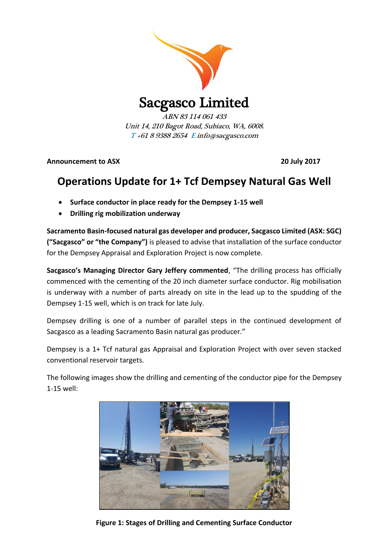

Sacgasco Limited

ABN 83 114 061 433 Unit 14, 210 Bagot Road, Subiaco, WA, 6008. T +61 8 9388 2654 E info@sacgasco.com

**Announcement to ASX 20 July 2017**

## **Operations Update for 1+ Tcf Dempsey Natural Gas Well**

- **Surface conductor in place ready for the Dempsey 1-15 well**
- **Drilling rig mobilization underway**

**Sacramento Basin-focused natural gas developer and producer, Sacgasco Limited (ASX: SGC) ("Sacgasco" or "the Company")** is pleased to advise that installation of the surface conductor for the Dempsey Appraisal and Exploration Project is now complete.

**Sacgasco's Managing Director Gary Jeffery commented**, "The drilling process has officially commenced with the cementing of the 20 inch diameter surface conductor. Rig mobilisation is underway with a number of parts already on site in the lead up to the spudding of the Dempsey 1-15 well, which is on track for late July.

Dempsey drilling is one of a number of parallel steps in the continued development of Sacgasco as a leading Sacramento Basin natural gas producer."

Dempsey is a 1+ Tcf natural gas Appraisal and Exploration Project with over seven stacked conventional reservoir targets.

The following images show the drilling and cementing of the conductor pipe for the Dempsey 1-15 well:



**Figure 1: Stages of Drilling and Cementing Surface Conductor**